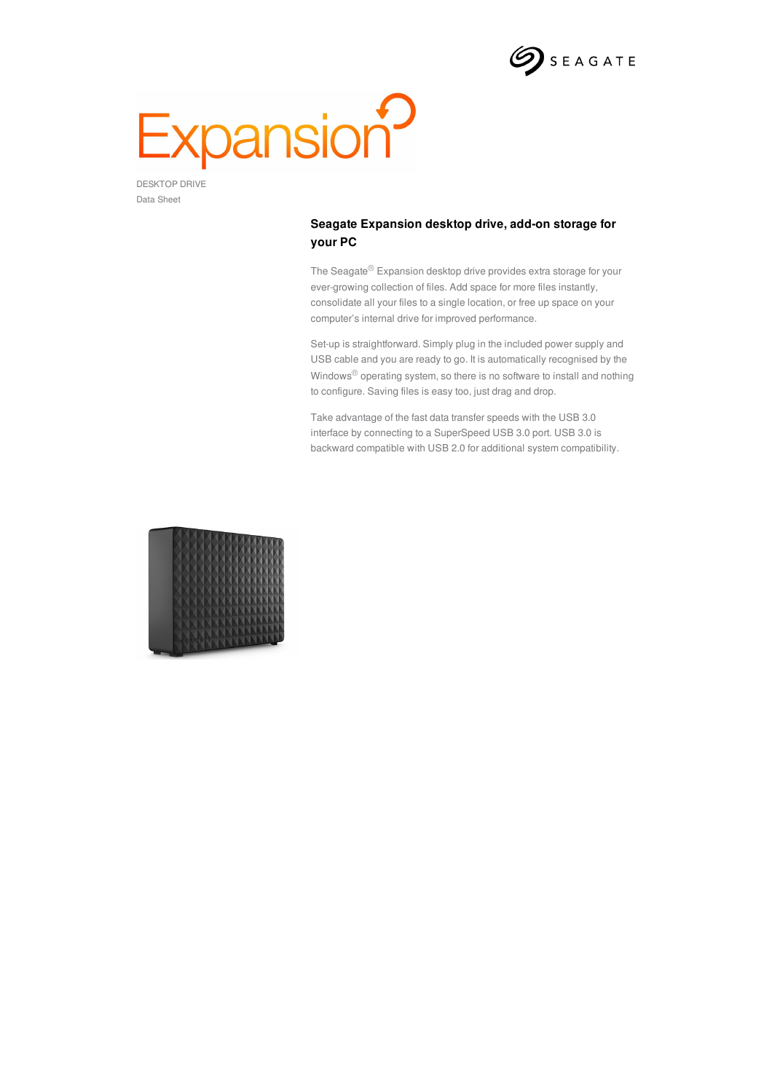

## Expansion<sup>2</sup>

Data Sheet

## **Seagate Expansion desktop drive, add-on storage for your PC**

The Seagate® Expansion desktop drive provides extra storage for your ever-growing collection of files. Add space for more files instantly, consolidate all your files to a single location, or free up space on your computer's internal drive for improved performance.

Set-up is straightforward. Simply plug in the included power supply and USB cable and you are ready to go. It is automatically recognised by the Windows® operating system, so there is no software to install and nothing to configure. Saving files is easy too, just drag and drop.

Take advantage of the fast data transfer speeds with the USB 3.0 interface by connecting to a SuperSpeed USB 3.0 port. USB 3.0 is backward compatible with USB 2.0 for additional system compatibility.